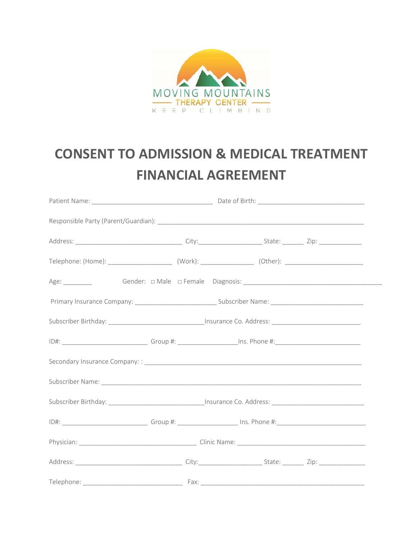

## **CONSENT TO ADMISSION & MEDICAL TREATMENT FINANCIAL AGREEMENT**

| Telephone: Fax: |  |  |
|-----------------|--|--|